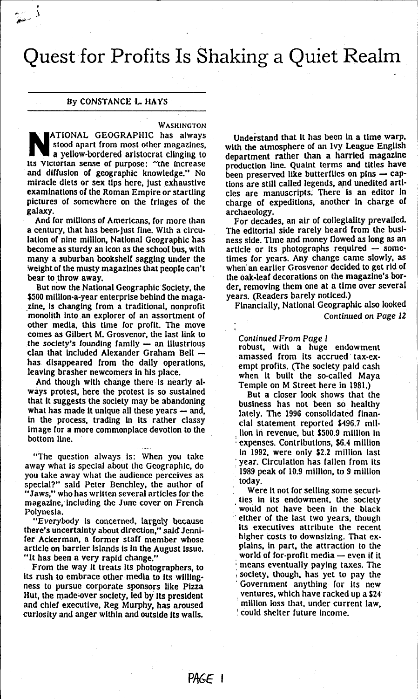## **Quest for Profits Is Shaking a Quiet Realm**

## By CONSTANCEL. HAYS

## WASHINGTON

**NATIONAL GEOGRAPHIC has always<br>stood apart from most other magazines,<br>a yellow-bordered aristocrat clinging to** stood apart from most other magazines, Its Victorian sense of purpose: "the increase and diffusion of geographic knowledge," No mlracie diets or sex tips here, Just exhaustive examinations of the Roman Empire or startling pictures of somewhere on the fringes of the galaxy.

And for millions of Americans, for more than a century, that has been-Just fine. With a circulation of nine million, National Geographic has become as sturdy an Icon as the school bus, with many a suburban bookshelf sagging under the weight of the musty magazines that people can't bear to throw away.

But now the National Geographic Society, the \$500 million-a-year enterprise behind the maga zine, is changing from a traditional, nonprofit monolith Into an explorer of an assortment of other media, this time for profit. The move comes as Gilbert M. Grosvenor, the last link to the society's founding family  $-$  an illustrious clan that included Alexander Graham Bell has disappeared from the dally operations, leaving brasher newcomers In his place.

And though with change there Is nearly always protest, here the protest Is so sustained that It suggests the society may be abandoning what has made it unique all these years  $-$  and, In the process, trading In Its rather classy Image for a more commonplace devotion to the bottom line.

"The question always Is: When you take away what is special about the Geographic, do you take away what the audience perceives as special?" said Peter Benchley, the author of "Jaws," who has written several articles for the magazine, including the June cover on French Polynesia.

"Everybody is concerned. largely because there's uncertainty about direction," said' Jennifer' Ackerman, a former staff member whose article on barrier islands is in the August issue. "It has been a very rapid change,"

From the way It treats Its photographers, to its rush to embrace other media to its willingness to pursue corporate sponsors like Pizza Hut, the made-over SOciety, led by Its president and chief executive, Reg Murphy, has aroused curiosity and anger within and outside Its walls.

Understand that It has been In a time warp, with the atmosphere of an Ivy League English department rather than a harried magazine production line. Quaint terms and titles have been preserved like butterflies on pins - captions are still called legends, and unedited articles are manuscripts; There Is an editor In charge of expeditions, another In charge of archaeology.

For decades, an air of collegiality prevailed. The editorial side rarely heard from the business side. Time and money flowed as long as an article or its photographs required  $-$  sometimes for years. Any change came slowly, as when'an earlier Grosvenor decided to get rid of the oak-leal decorations on the magazine's border, removing them one at a time over several years. (Readers barely noticed.)

Financially, National Geographic also looked Continued on Page 12

Continued From Page 1

robust, with a huge endowment amassed from Its accrued' tax-exempt profits. (The society paid cash when it built the so-called Maya Temple on M Street here in 1981.)

But a closer look shows that the business has not been so healthy lately. The 1996 consolidated financial statement reported \$496.7 million in revenue, but \$500.9 million in expenses. Contributions, \$6.4 million In 1992, were only \$2.2 million last year. Circulation has fallen from Its . 1989 peak of 10.9 million, to 9 million . today.

Were It not for selling some securlties In its endowment. the society would not have been in the black either of the last two years, though Its executives attribute the recent higher costs to downsizing. That explains, In part, the attraction to the world of for-profit media  $-$  even if it : means eventually paying taxes. The society, though, has yet to pay the 'Government anything for its new ventures, which have racked up a \$24 million loss that, under current law, could shelter future Income.

PA6E I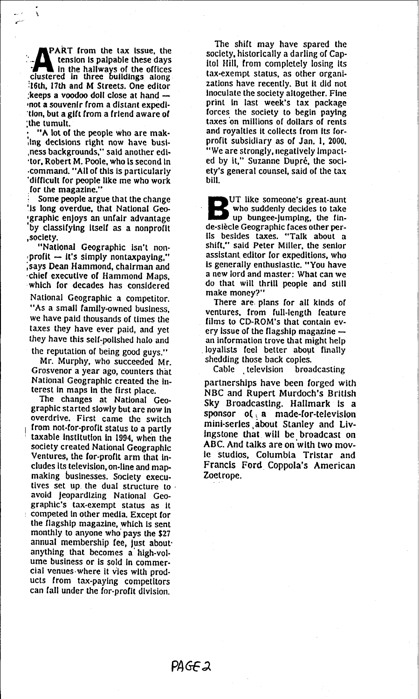PART from the tax Issue, the tension is palpable these days . In the hallways or the olllces .clustered In three buildings along :16th, 17th and M Streets. One editor ;keeps a voodoo doll close at hand - 'not a souvenir trorn a distant expedl tion, but a gift from a friend aware of ;the tumult.

\

"A lot of the people who are mak-.lng decisions right now have busl- ,ness backgrounds," said another edl· ·tor, Robert M. Poole, who Issecond In -command. "All of this is particularly 'difficult for people like me who work for the magazine."

Some people argue that the change 'Is long overdue, that National Geo- 'graphic enjoys an unfair advantage by classifying itself as a nonprofit ,society.

"National Geographic Isn't non-  $\cdot$ profit — it's simply nontaxpaying, .says Dean Hammond, chairman and chief executive of Hammond Maps, which for decades has considered National Geographic a competitor. "As a small Iamlly-owned business, we have paid thousands of times the taxes they have ever paid, and yet they have this self-pollshed halo and the reputation of being good guys:'

Mr. Murphy, who succeeded Mr. Grosvenor a year ago, counters that National Geographic created the Interest In maps In the first place.

The changes at National Geographic started slowly but are now In overdrive. First came the switch from not-for-profit status to a partly taxable Institution In 1994, when the society created National Geographic Ventures, the for-profit arm that includes its television, on-line and mapmaking businesses. Society executives set up the dual structure to. avoid jeopardizing National Geographic's tax-exempt status as It competed in other media. Except for the flagship magazine, which is sent monthly to anyone who pays the \$27 annual membership tee, just about· anything that becomes a' hlgh-volume business or is sold in commercial venues· where It vies with products (rom tax-paying competitors can fall under the for-profit division.

The shift may have spared the society, historically a darling of Capitol Hill, from completely losing its tax-exempt status, as other organizations have recently. But it did not Inoculate the society altogether. Fine print In last week's tax package torces the society to begin paying taxes on millions of dollars of rents and royalties it collects from its forprofit subsidiary as of Jan. 1, 2000. "We are strongly, negatively Impacted by it," Suzanne Dupré, the society's general counsel, said ot the tax bill.

UT like someone's great-aunt<br>who suddenly decides to take<br>up bungee-jumping, the finwho suddenly decides to take up bungee-jurnplng, the finde-siècle Geographic faces other perlis besides taxes. "Talk about a shift," said Peter Miller, the senior assistant editor for expeditions, who Is generally enthusiastic. "You have a new lord and master: What can we do that will thrlli people and stili make money?"

There are plans for all kinds of ventures, from full-length feature films to CD-ROM's that contain every issue of the flagship magazine  $$ an Intormatton trove that might help loyalists feel better about finally shcdding those back copies.

Cable ,television broadcasting

partnerships have been forged with NBC and Rupert Murdoch's British Sky Broadcasting. Hallmark Is a sponsor  $o(\cdot, a \text{ made-for-television})$ mini-series, about Stanley and Llv-Ingstone that will be broadcast on ABC. And talks are on wlth two mov-Ie studios, Columbia Trlstar and Francis Ford. Coppola's American Zoetrope.

PAGE2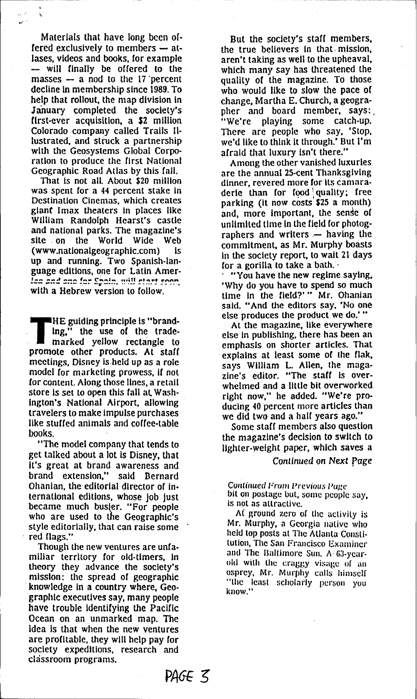Materials that have long been offered exclusively to members  $-$  atlases, videos and books, for example - will finally be offered to the masses  $-$  a nod to the 17 percent decline In membership since 1989. To help that rollout. the map division In January completed the society's first-ever acquisition, a \$2 million Colorado company called Trails illustrated, and struck a partnership with the Geosystems Global Corporation to produce the first National Geographic Road Alias by this fall.

That is not all. About \$20 million was spent for a 44 percent stake In Destination Cinemas, which creates giant Imax theaters In places like WlIIiam Randolph Hearst's castle and national parks. The magazine's site . on the World Wide Web (www.natlonalgeographic.com) Is up and running. Two SpanIsh-language editions, one for Latin Amer-**1\_- \_..1 \_\_ ....** *<sup>t</sup> ...... CO""" .... <sup>I</sup>* **,;It rot., C"1"'Il1'\'" .\_- - --.-** .,"" **- ..** \_ , -- --.- \_., with a Hebrew version to follow.

THE guiding principle is "brand-<br>ing," the use of the trade-<br>marked yellow rectangle to<br>promote other products. At staff **lacks** ing," the use of the trade-. marked yellow rectangle to promote other products. At staff meetings, Disney is held up as a role model for marketing prowess, If not for content. Along those lines, a retail store is set to open this fall at Washington's National Airport, allowing travelers to make Impulse purchases like stuffed animals and coffee-table books.

"The model company that tends to get talked about a lot is Disney, that it's great at brand awareness and brand extension," said Bernard Ohanian, the editorial director or international editions, whose job just became much buster. "For people who are used to the Geographic's style editorially, that can raise some red flags."

Though the new ventures are unfamiliar territory for old-timers, In theory they advance the society's mission: the spread of geographic . knowledge In a country where, Geographic executives say, many people have trouble identifying the Pacific Ocean on an unmarked map. The idea is that when the new ventures are prolltable, they will help pay for society expeditions, research and classroom programs.

l<sup>a</sup> la composición de la composición de la composición de la composición de la composición de la composición de<br>La composición de la composición de la composición de la composición de la composición de la composición de l

But the society's staff members, the true believers In that. mission, aren't taking as well to the upheaval, which many say has threatened the quality of the magazine. To those who would like to slow the pace of change, Martha E. Church, a geographer and board member, says: "We're playing some catch-up. There are people who say, 'Stop, we'd like to think It through.' But I'm afraid that luxury Isn't there."

Among the other vanished luxuries are the annual 25-cent Thanksgiving Among the other vanished luxuries<br>are the annual 25-cent Thanksgiving<br>dinner, revered more for its camara-<br>derie than for food quality; free derie than for food quality; free parking (it now costs \$25 a month) and, more Important, the sense of unlimited time in the field for photographers and writers  $-$  having the commitment, as Mr. Murphy boasts In the society report, to walt 21 days for a gorilla to take a bath.

"You have the new regime saying. 'Why do you have to spend so much time In the field?'" Mr. Ohanian said. "And the editors say. 'No one else produces the product we do.' "

At the magaztne, like everywhere else in publishing, there has been an emphasis on shorter articles. That explains at least some of the flak, says William L. Allen, Ihe magazine's editor. "The staff is overwhelmed and a little bit overworked right now," he added. "We're producing 40 percent more articles than we did two and a hall years ago,"

Some staff members also question the magazine'S decision to switch to lighter-weight paper, which saves a

Continued on Next Page

Continued From Previous Page

bit on postage but, some people say, is not as attractive,

At ground zero of the activity is Mr. Murphy, a Georgia native who held lop posts at The Atlanta Constltution, The San Francisco Examiner and The Baltimore Sun. A 63-yearold with the craggy visage of an osprey, Mr. Murphy calls himself "lhe least scholarly person you know."

PAGE 3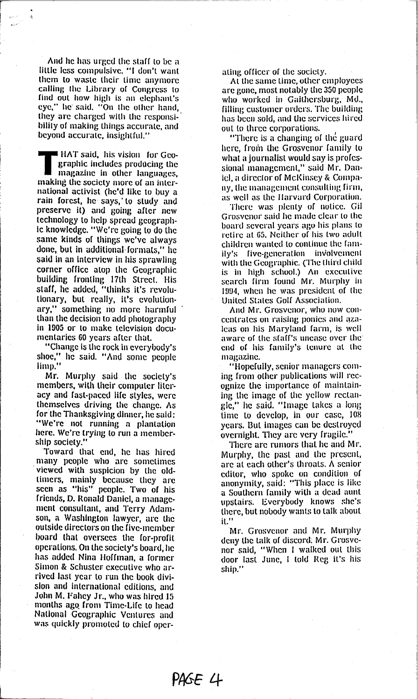And he has urged the staff to be a little less compulsive. "I don't want them to waste their Limc anymore calling the Library of Congress to find out how high is an elephant's eye," hc said. "On the other hand. they arc charged with the respnnslbilily of making things accurate, and beyond accurate, insightful."

•

**THAT said, his vision for Geographic includes producing the magazine in other languages, making the second vector in inter**graphic includes producing the making the society more of an international activist (he'd like to buy a rain forest, he says, to study and preserve it) and going after new technology to help spread geographic knowledge. "We're going to do the same kinds of things we've always done. but in additional· formals," he said in an intervicw in his sprawling corner officc atop the Geographic building fronting 17th Street. His staff, he added, "thinks it's revolutionary. but really, it's cvolutionary," something no more harmful than the decision to add photography in 1905 or to make television documentaries 60 years after that.

"Change is the rock in everybody's shoe," he said. "And some people limp."

Mr. Murphy said the society's members, with their computer literacy and fast-paced life styles. were themselves driving the change. As for the Thanksgiving dinner, he said: "We're not running a plantation here. Wc'rc trying to run a membership society."

Toward that end, he has hired many people who are sometimes viewed with suspicion by the oldtimers, mainly because they are seen as "his" people. Two of his friends, D. Ronald Daniel. a management consultant. and Terry Adamson, a Washington lawyer. are the outside directors on the five-member board that oversees the for-profit opcrations. On the society's board, he has added Nina Hollman, a former Simon & Schuster executive who arrived last year to run the book division and international editions. and John M. Fahey Jr., who was hired 15 months ago from Time-Life to head NaLional Geographic Ventures and was quickly promoted to chief opcr-

 $\blacksquare$ 

*PAGE* **Lf-**

atlug officer of the society.

At the same lime, other employees arc gone. most notably the 350 people who worked in Gaithersburg, Md., rilling customer orders. Thc building has been sold, and the services hired out to three corporations.

"There is a changing of the guard here, Irom the Grosvenor family to what a journalist would say is professional management," said Mr. Daniel, a director of McKinsey & Company, the management consulting firm, as well as the llarvard Corporutiun.

There was plenty of notice. Gil Grosvenor said he made clear to the board several years ago his plans to rctlrc at G5. Ncithcr of his two adult children wanted to continue the family's live-generation involvement with the Gcographic. (Thc Ihird child is in high school.) An executive search firm found Mr. Murphy in 1994, when he was president of the United States Golf Association.

And MI'. Grosvenor, who now conccntratcs un raising ponies and azaleas on his Maryland farm, is well aware of the staff's unease over the end of his Iamlly's tenure at the magazine.

"Hopefully, senior managers coming from other publications will rccognize the Importance of maintaining the image of the yellow rectangle," he said. "Image takes a long time to develop, in our case, 108 years. But images can be destroyed overnight. They arc very fragile."

There arc rumors that hc and Mr. Murphy. the past and the present, arc at cach other's throats. A senior cdltor, who spoke on condition of anonymity, said: "This place is like a Southern family with a dead aunt upstairs. Everybody knows she's there, but nobody wants to talk about iL."

Mr. Grosvenor and Mr. Murphy deny the talk of discord. Mr. Grosv? nor said, "When I walked out this door last June, I told Reg it's his ship."